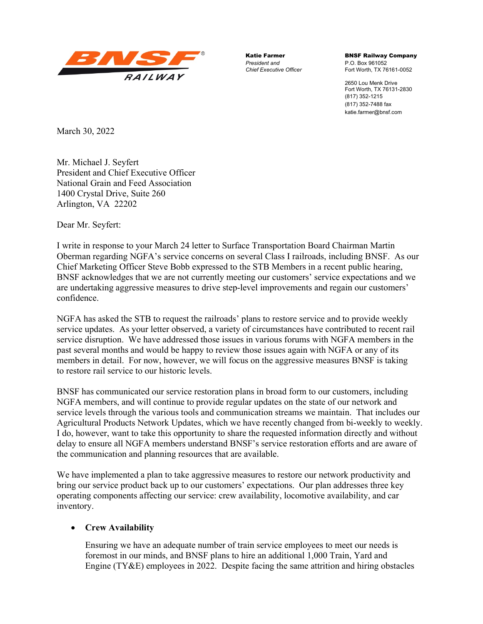

*President and* P.O. Box 961052

Katie Farmer **BNSF Railway Company** 

*Chief Executive Officer* Fort Worth, TX 76161-0052 2650 Lou Menk Drive Fort Worth, TX 76131-2830

(817) 352-1215 (817) 352-7488 fax katie.farmer@bnsf.com

March 30, 2022

Mr. Michael J. Seyfert President and Chief Executive Officer National Grain and Feed Association 1400 Crystal Drive, Suite 260 Arlington, VA 22202

Dear Mr. Seyfert:

I write in response to your March 24 letter to Surface Transportation Board Chairman Martin Oberman regarding NGFA's service concerns on several Class I railroads, including BNSF. As our Chief Marketing Officer Steve Bobb expressed to the STB Members in a recent public hearing, BNSF acknowledges that we are not currently meeting our customers' service expectations and we are undertaking aggressive measures to drive step-level improvements and regain our customers' confidence.

NGFA has asked the STB to request the railroads' plans to restore service and to provide weekly service updates. As your letter observed, a variety of circumstances have contributed to recent rail service disruption. We have addressed those issues in various forums with NGFA members in the past several months and would be happy to review those issues again with NGFA or any of its members in detail. For now, however, we will focus on the aggressive measures BNSF is taking to restore rail service to our historic levels.

BNSF has communicated our service restoration plans in broad form to our customers, including NGFA members, and will continue to provide regular updates on the state of our network and service levels through the various tools and communication streams we maintain. That includes our Agricultural Products Network Updates, which we have recently changed from bi-weekly to weekly. I do, however, want to take this opportunity to share the requested information directly and without delay to ensure all NGFA members understand BNSF's service restoration efforts and are aware of the communication and planning resources that are available.

We have implemented a plan to take aggressive measures to restore our network productivity and bring our service product back up to our customers' expectations. Our plan addresses three key operating components affecting our service: crew availability, locomotive availability, and car inventory.

## • **Crew Availability**

Ensuring we have an adequate number of train service employees to meet our needs is foremost in our minds, and BNSF plans to hire an additional 1,000 Train, Yard and Engine (TY&E) employees in 2022. Despite facing the same attrition and hiring obstacles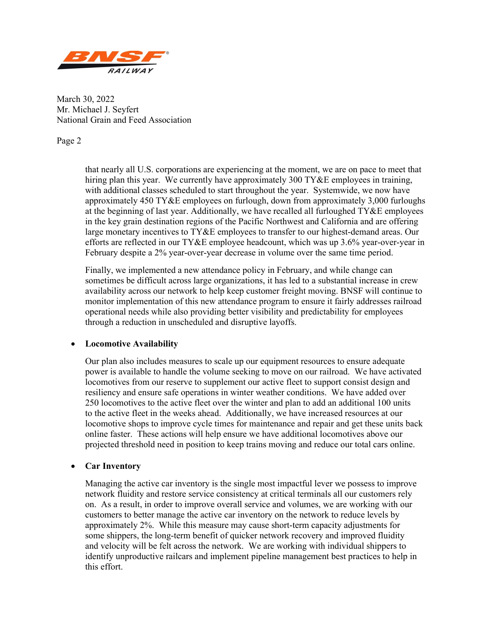

Page 2

that nearly all U.S. corporations are experiencing at the moment, we are on pace to meet that hiring plan this year. We currently have approximately 300 TY&E employees in training, with additional classes scheduled to start throughout the year. Systemwide, we now have approximately 450 TY&E employees on furlough, down from approximately 3,000 furloughs at the beginning of last year. Additionally, we have recalled all furloughed TY&E employees in the key grain destination regions of the Pacific Northwest and California and are offering large monetary incentives to TY&E employees to transfer to our highest-demand areas. Our efforts are reflected in our TY&E employee headcount, which was up 3.6% year-over-year in February despite a 2% year-over-year decrease in volume over the same time period.

Finally, we implemented a new attendance policy in February, and while change can sometimes be difficult across large organizations, it has led to a substantial increase in crew availability across our network to help keep customer freight moving. BNSF will continue to monitor implementation of this new attendance program to ensure it fairly addresses railroad operational needs while also providing better visibility and predictability for employees through a reduction in unscheduled and disruptive layoffs.

## • **Locomotive Availability**

Our plan also includes measures to scale up our equipment resources to ensure adequate power is available to handle the volume seeking to move on our railroad. We have activated locomotives from our reserve to supplement our active fleet to support consist design and resiliency and ensure safe operations in winter weather conditions. We have added over 250 locomotives to the active fleet over the winter and plan to add an additional 100 units to the active fleet in the weeks ahead. Additionally, we have increased resources at our locomotive shops to improve cycle times for maintenance and repair and get these units back online faster. These actions will help ensure we have additional locomotives above our projected threshold need in position to keep trains moving and reduce our total cars online.

## • **Car Inventory**

Managing the active car inventory is the single most impactful lever we possess to improve network fluidity and restore service consistency at critical terminals all our customers rely on. As a result, in order to improve overall service and volumes, we are working with our customers to better manage the active car inventory on the network to reduce levels by approximately 2%. While this measure may cause short-term capacity adjustments for some shippers, the long-term benefit of quicker network recovery and improved fluidity and velocity will be felt across the network. We are working with individual shippers to identify unproductive railcars and implement pipeline management best practices to help in this effort.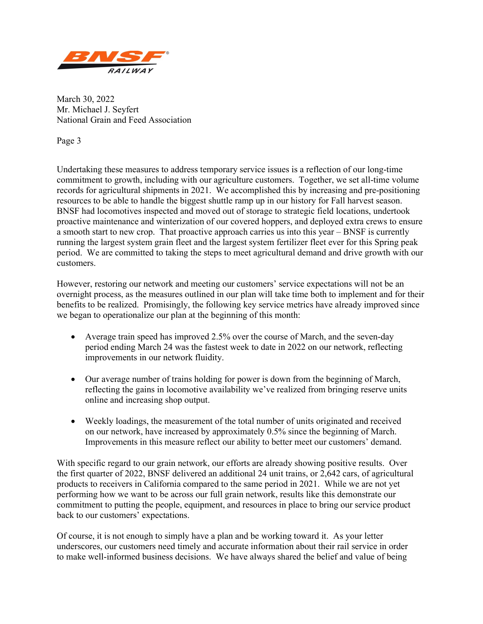

Page 3

Undertaking these measures to address temporary service issues is a reflection of our long-time commitment to growth, including with our agriculture customers. Together, we set all-time volume records for agricultural shipments in 2021. We accomplished this by increasing and pre-positioning resources to be able to handle the biggest shuttle ramp up in our history for Fall harvest season. BNSF had locomotives inspected and moved out of storage to strategic field locations, undertook proactive maintenance and winterization of our covered hoppers, and deployed extra crews to ensure a smooth start to new crop. That proactive approach carries us into this year – BNSF is currently running the largest system grain fleet and the largest system fertilizer fleet ever for this Spring peak period. We are committed to taking the steps to meet agricultural demand and drive growth with our customers.

However, restoring our network and meeting our customers' service expectations will not be an overnight process, as the measures outlined in our plan will take time both to implement and for their benefits to be realized. Promisingly, the following key service metrics have already improved since we began to operationalize our plan at the beginning of this month:

- Average train speed has improved 2.5% over the course of March, and the seven-day period ending March 24 was the fastest week to date in 2022 on our network, reflecting improvements in our network fluidity.
- Our average number of trains holding for power is down from the beginning of March, reflecting the gains in locomotive availability we've realized from bringing reserve units online and increasing shop output.
- Weekly loadings, the measurement of the total number of units originated and received on our network, have increased by approximately 0.5% since the beginning of March. Improvements in this measure reflect our ability to better meet our customers' demand.

With specific regard to our grain network, our efforts are already showing positive results. Over the first quarter of 2022, BNSF delivered an additional 24 unit trains, or 2,642 cars, of agricultural products to receivers in California compared to the same period in 2021. While we are not yet performing how we want to be across our full grain network, results like this demonstrate our commitment to putting the people, equipment, and resources in place to bring our service product back to our customers' expectations.

Of course, it is not enough to simply have a plan and be working toward it. As your letter underscores, our customers need timely and accurate information about their rail service in order to make well-informed business decisions. We have always shared the belief and value of being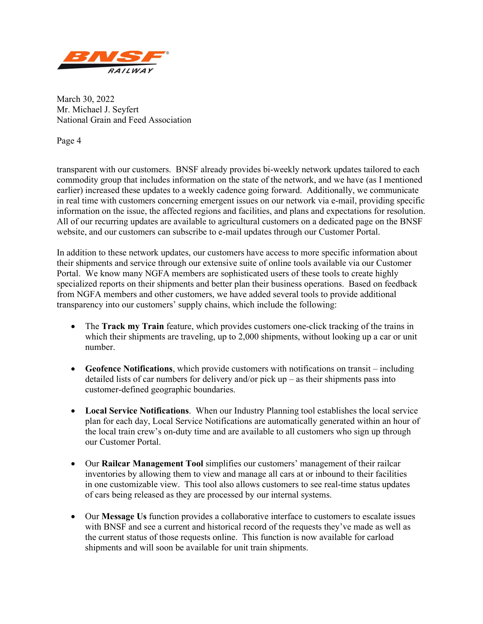

Page 4

transparent with our customers. BNSF already provides bi-weekly network updates tailored to each commodity group that includes information on the state of the network, and we have (as I mentioned earlier) increased these updates to a weekly cadence going forward. Additionally, we communicate in real time with customers concerning emergent issues on our network via e-mail, providing specific information on the issue, the affected regions and facilities, and plans and expectations for resolution. All of our recurring updates are available to agricultural customers on a dedicated page on the BNSF website, and our customers can subscribe to e-mail updates through our Customer Portal.

In addition to these network updates, our customers have access to more specific information about their shipments and service through our extensive suite of online tools available via our Customer Portal. We know many NGFA members are sophisticated users of these tools to create highly specialized reports on their shipments and better plan their business operations. Based on feedback from NGFA members and other customers, we have added several tools to provide additional transparency into our customers' supply chains, which include the following:

- The **Track my Train** feature, which provides customers one-click tracking of the trains in which their shipments are traveling, up to 2,000 shipments, without looking up a car or unit number.
- **Geofence Notifications**, which provide customers with notifications on transit including detailed lists of car numbers for delivery and/or pick  $up - as$  their shipments pass into customer-defined geographic boundaries.
- **Local Service Notifications**. When our Industry Planning tool establishes the local service plan for each day, Local Service Notifications are automatically generated within an hour of the local train crew's on-duty time and are available to all customers who sign up through our Customer Portal.
- Our **Railcar Management Tool** simplifies our customers' management of their railcar inventories by allowing them to view and manage all cars at or inbound to their facilities in one customizable view. This tool also allows customers to see real-time status updates of cars being released as they are processed by our internal systems.
- Our **Message Us** function provides a collaborative interface to customers to escalate issues with BNSF and see a current and historical record of the requests they've made as well as the current status of those requests online. This function is now available for carload shipments and will soon be available for unit train shipments.